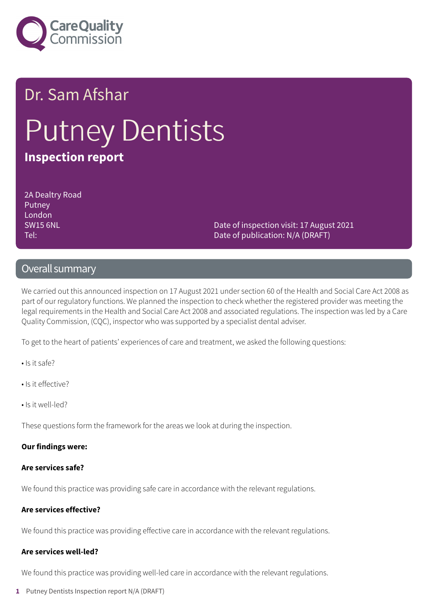

# Dr. Sam Afshar Putney Dentists **Inspection report**

2A Dealtry Road Putney London SW15 6NL Tel:

Date of inspection visit: 17 August 2021 Date of publication: N/A (DRAFT)

### Overall summary

We carried out this announced inspection on 17 August 2021 under section 60 of the Health and Social Care Act 2008 as part of our regulatory functions. We planned the inspection to check whether the registered provider was meeting the legal requirements in the Health and Social Care Act 2008 and associated regulations. The inspection was led by a Care Quality Commission, (CQC), inspector who was supported by a specialist dental adviser.

To get to the heart of patients' experiences of care and treatment, we asked the following questions:

- Is it safe?
- Is it effective?
- Is it well-led?

These questions form the framework for the areas we look at during the inspection.

#### **Our findings were:**

#### **Are services safe?**

We found this practice was providing safe care in accordance with the relevant regulations.

#### **Are services effective?**

We found this practice was providing effective care in accordance with the relevant regulations.

### **Are services well-led?**

We found this practice was providing well-led care in accordance with the relevant regulations.

**1** Putney Dentists Inspection report N/A (DRAFT)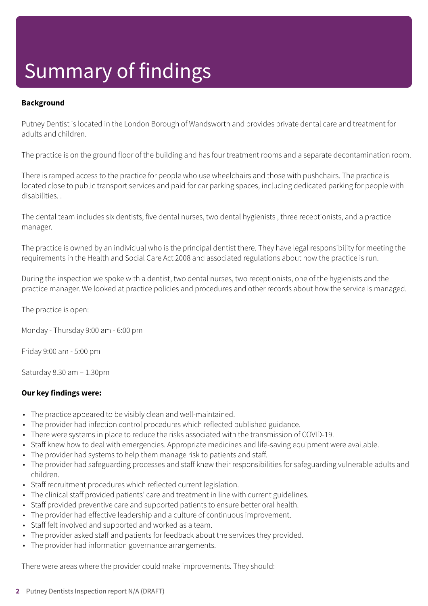# Summary of findings

### **Background**

Putney Dentist is located in the London Borough of Wandsworth and provides private dental care and treatment for adults and children.

The practice is on the ground floor of the building and has four treatment rooms and a separate decontamination room.

There is ramped access to the practice for people who use wheelchairs and those with pushchairs. The practice is located close to public transport services and paid for car parking spaces, including dedicated parking for people with disabilities. .

The dental team includes six dentists, five dental nurses, two dental hygienists , three receptionists, and a practice manager.

The practice is owned by an individual who is the principal dentist there. They have legal responsibility for meeting the requirements in the Health and Social Care Act 2008 and associated regulations about how the practice is run.

During the inspection we spoke with a dentist, two dental nurses, two receptionists, one of the hygienists and the practice manager. We looked at practice policies and procedures and other records about how the service is managed.

The practice is open:

Monday - Thursday 9:00 am - 6:00 pm

Friday 9:00 am - 5:00 pm

Saturday 8.30 am – 1.30pm

#### **Our key findings were:**

- The practice appeared to be visibly clean and well-maintained.
- The provider had infection control procedures which reflected published guidance.
- There were systems in place to reduce the risks associated with the transmission of COVID-19.
- Staff knew how to deal with emergencies. Appropriate medicines and life-saving equipment were available.
- The provider had systems to help them manage risk to patients and staff.
- The provider had safeguarding processes and staff knew their responsibilities for safeguarding vulnerable adults and children.
- Staff recruitment procedures which reflected current legislation.
- The clinical staff provided patients' care and treatment in line with current guidelines.
- Staff provided preventive care and supported patients to ensure better oral health.
- The provider had effective leadership and a culture of continuous improvement.
- Staff felt involved and supported and worked as a team.
- The provider asked staff and patients for feedback about the services they provided.
- The provider had information governance arrangements.

There were areas where the provider could make improvements. They should: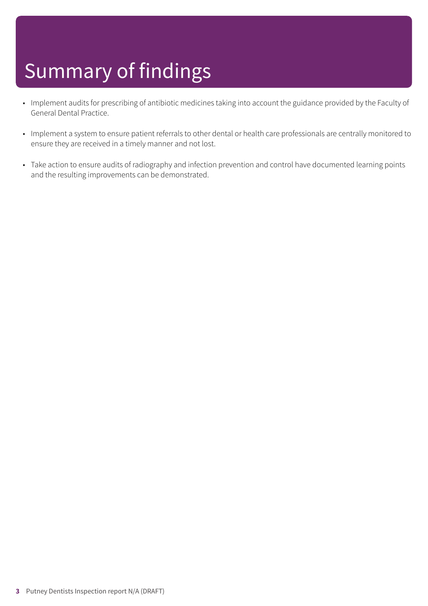# Summary of findings

- Implement audits for prescribing of antibiotic medicines taking into account the guidance provided by the Faculty of General Dental Practice.
- Implement a system to ensure patient referrals to other dental or health care professionals are centrally monitored to ensure they are received in a timely manner and not lost.
- Take action to ensure audits of radiography and infection prevention and control have documented learning points and the resulting improvements can be demonstrated.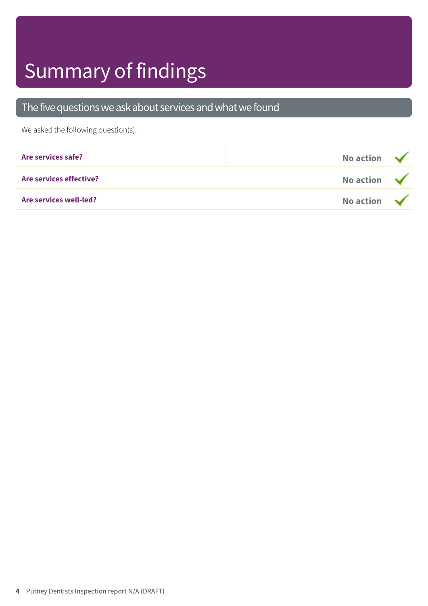# Summary of findings

### The five questions we ask about services and what we found

We asked the following question(s).

| Are services safe?      | No action $\sqrt{}$ |  |
|-------------------------|---------------------|--|
| Are services effective? | No action $\sqrt{}$ |  |
| Are services well-led?  | No action $\sqrt{}$ |  |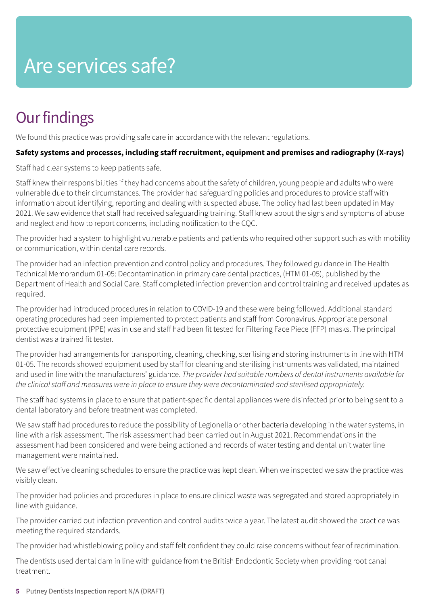### Are services safe?

### **Our findings**

We found this practice was providing safe care in accordance with the relevant regulations.

### **Safety systems and processes, including staff recruitment, equipment and premises and radiography (X-rays)**

Staff had clear systems to keep patients safe.

Staff knew their responsibilities if they had concerns about the safety of children, young people and adults who were vulnerable due to their circumstances. The provider had safeguarding policies and procedures to provide staff with information about identifying, reporting and dealing with suspected abuse. The policy had last been updated in May 2021. We saw evidence that staff had received safeguarding training. Staff knew about the signs and symptoms of abuse and neglect and how to report concerns, including notification to the CQC.

The provider had a system to highlight vulnerable patients and patients who required other support such as with mobility or communication, within dental care records.

The provider had an infection prevention and control policy and procedures. They followed guidance in The Health Technical Memorandum 01-05: Decontamination in primary care dental practices, (HTM 01-05), published by the Department of Health and Social Care. Staff completed infection prevention and control training and received updates as required.

The provider had introduced procedures in relation to COVID-19 and these were being followed. Additional standard operating procedures had been implemented to protect patients and staff from Coronavirus. Appropriate personal protective equipment (PPE) was in use and staff had been fit tested for Filtering Face Piece (FFP) masks. The principal dentist was a trained fit tester.

The provider had arrangements for transporting, cleaning, checking, sterilising and storing instruments in line with HTM 01-05. The records showed equipment used by staff for cleaning and sterilising instruments was validated, maintained and used in line with the manufacturers' guidance. *The provider had suitable numbers of dental instruments available for the clinicalstaff and measures were in place to ensure they were decontaminated and sterilised appropriately.*

The staff had systems in place to ensure that patient-specific dental appliances were disinfected prior to being sent to a dental laboratory and before treatment was completed.

We saw staff had procedures to reduce the possibility of Legionella or other bacteria developing in the water systems, in line with a risk assessment. The risk assessment had been carried out in August 2021. Recommendations in the assessment had been considered and were being actioned and records of water testing and dental unit water line management were maintained.

We saw effective cleaning schedules to ensure the practice was kept clean. When we inspected we saw the practice was visibly clean.

The provider had policies and procedures in place to ensure clinical waste was segregated and stored appropriately in line with guidance.

The provider carried out infection prevention and control audits twice a year. The latest audit showed the practice was meeting the required standards.

The provider had whistleblowing policy and staff felt confident they could raise concerns without fear of recrimination.

The dentists used dental dam in line with guidance from the British Endodontic Society when providing root canal treatment.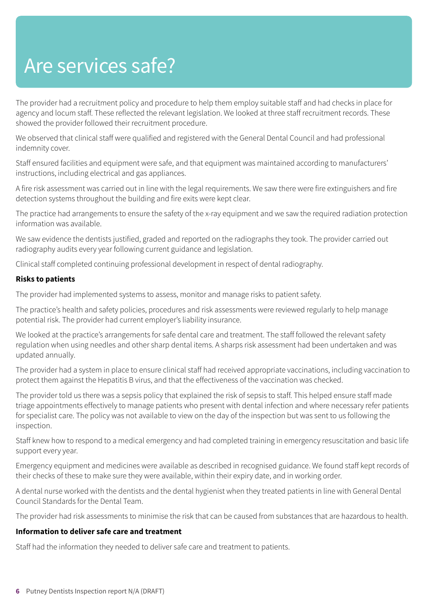### Are services safe?

The provider had a recruitment policy and procedure to help them employ suitable staff and had checks in place for agency and locum staff. These reflected the relevant legislation. We looked at three staff recruitment records. These showed the provider followed their recruitment procedure.

We observed that clinical staff were qualified and registered with the General Dental Council and had professional indemnity cover.

Staff ensured facilities and equipment were safe, and that equipment was maintained according to manufacturers' instructions, including electrical and gas appliances.

A fire risk assessment was carried out in line with the legal requirements. We saw there were fire extinguishers and fire detection systems throughout the building and fire exits were kept clear.

The practice had arrangements to ensure the safety of the x-ray equipment and we saw the required radiation protection information was available.

We saw evidence the dentists justified, graded and reported on the radiographs they took. The provider carried out radiography audits every year following current guidance and legislation.

Clinical staff completed continuing professional development in respect of dental radiography.

#### **Risks to patients**

The provider had implemented systems to assess, monitor and manage risks to patient safety.

The practice's health and safety policies, procedures and risk assessments were reviewed regularly to help manage potential risk. The provider had current employer's liability insurance.

We looked at the practice's arrangements for safe dental care and treatment. The staff followed the relevant safety regulation when using needles and other sharp dental items. A sharps risk assessment had been undertaken and was updated annually.

The provider had a system in place to ensure clinical staff had received appropriate vaccinations, including vaccination to protect them against the Hepatitis B virus, and that the effectiveness of the vaccination was checked.

The provider told us there was a sepsis policy that explained the risk of sepsis to staff. This helped ensure staff made triage appointments effectively to manage patients who present with dental infection and where necessary refer patients for specialist care. The policy was not available to view on the day of the inspection but was sent to us following the inspection.

Staff knew how to respond to a medical emergency and had completed training in emergency resuscitation and basic life support every year.

Emergency equipment and medicines were available as described in recognised guidance. We found staff kept records of their checks of these to make sure they were available, within their expiry date, and in working order.

A dental nurse worked with the dentists and the dental hygienist when they treated patients in line with General Dental Council Standards for the Dental Team.

The provider had risk assessments to minimise the risk that can be caused from substances that are hazardous to health.

#### **Information to deliver safe care and treatment**

Staff had the information they needed to deliver safe care and treatment to patients.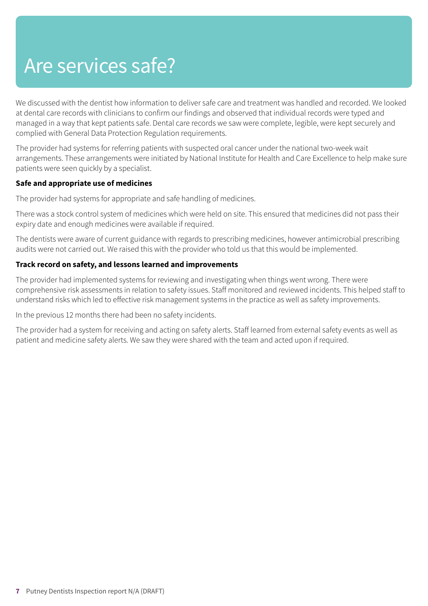### Are services safe?

We discussed with the dentist how information to deliver safe care and treatment was handled and recorded. We looked at dental care records with clinicians to confirm our findings and observed that individual records were typed and managed in a way that kept patients safe. Dental care records we saw were complete, legible, were kept securely and complied with General Data Protection Regulation requirements.

The provider had systems for referring patients with suspected oral cancer under the national two-week wait arrangements. These arrangements were initiated by National Institute for Health and Care Excellence to help make sure patients were seen quickly by a specialist.

### **Safe and appropriate use of medicines**

The provider had systems for appropriate and safe handling of medicines.

There was a stock control system of medicines which were held on site. This ensured that medicines did not pass their expiry date and enough medicines were available if required.

The dentists were aware of current guidance with regards to prescribing medicines, however antimicrobial prescribing audits were not carried out. We raised this with the provider who told us that this would be implemented.

### **Track record on safety, and lessons learned and improvements**

The provider had implemented systems for reviewing and investigating when things went wrong. There were comprehensive risk assessments in relation to safety issues. Staff monitored and reviewed incidents. This helped staff to understand risks which led to effective risk management systems in the practice as well as safety improvements.

In the previous 12 months there had been no safety incidents.

The provider had a system for receiving and acting on safety alerts. Staff learned from external safety events as well as patient and medicine safety alerts. We saw they were shared with the team and acted upon if required.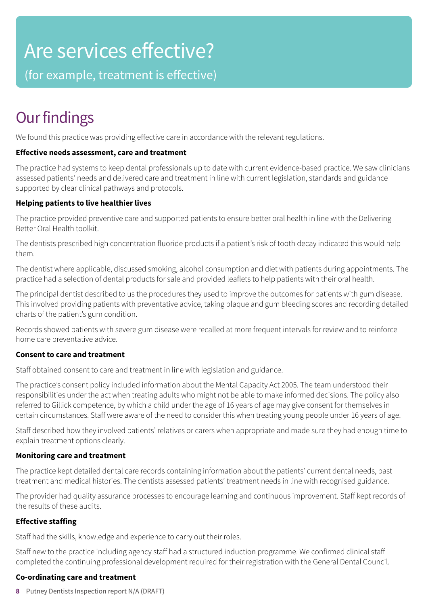### Are services effective?

(for example, treatment is effective)

### **Our findings**

We found this practice was providing effective care in accordance with the relevant regulations.

### **Effective needs assessment, care and treatment**

The practice had systems to keep dental professionals up to date with current evidence-based practice. We saw clinicians assessed patients' needs and delivered care and treatment in line with current legislation, standards and guidance supported by clear clinical pathways and protocols.

### **Helping patients to live healthier lives**

The practice provided preventive care and supported patients to ensure better oral health in line with the Delivering Better Oral Health toolkit.

The dentists prescribed high concentration fluoride products if a patient's risk of tooth decay indicated this would help them.

The dentist where applicable, discussed smoking, alcohol consumption and diet with patients during appointments. The practice had a selection of dental products for sale and provided leaflets to help patients with their oral health.

The principal dentist described to us the procedures they used to improve the outcomes for patients with gum disease. This involved providing patients with preventative advice, taking plaque and gum bleeding scores and recording detailed charts of the patient's gum condition.

Records showed patients with severe gum disease were recalled at more frequent intervals for review and to reinforce home care preventative advice.

### **Consent to care and treatment**

Staff obtained consent to care and treatment in line with legislation and guidance.

The practice's consent policy included information about the Mental Capacity Act 2005. The team understood their responsibilities under the act when treating adults who might not be able to make informed decisions. The policy also referred to Gillick competence, by which a child under the age of 16 years of age may give consent for themselves in certain circumstances. Staff were aware of the need to consider this when treating young people under 16 years of age.

Staff described how they involved patients' relatives or carers when appropriate and made sure they had enough time to explain treatment options clearly.

### **Monitoring care and treatment**

The practice kept detailed dental care records containing information about the patients' current dental needs, past treatment and medical histories. The dentists assessed patients' treatment needs in line with recognised guidance.

The provider had quality assurance processes to encourage learning and continuous improvement. Staff kept records of the results of these audits.

### **Effective staffing**

Staff had the skills, knowledge and experience to carry out their roles.

Staff new to the practice including agency staff had a structured induction programme. We confirmed clinical staff completed the continuing professional development required for their registration with the General Dental Council.

### **Co-ordinating care and treatment**

**8** Putney Dentists Inspection report N/A (DRAFT)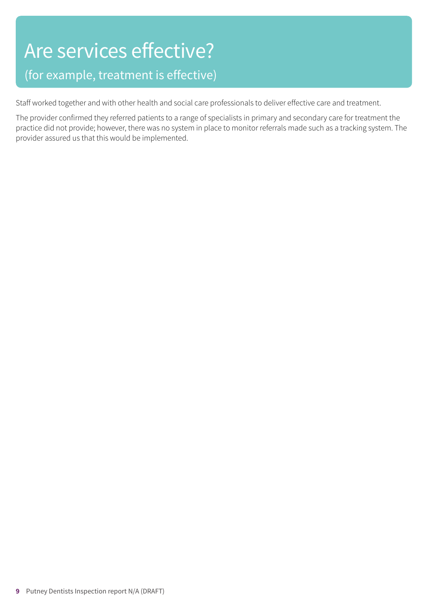# Are services effective?

### (for example, treatment is effective)

Staff worked together and with other health and social care professionals to deliver effective care and treatment.

The provider confirmed they referred patients to a range of specialists in primary and secondary care for treatment the practice did not provide; however, there was no system in place to monitor referrals made such as a tracking system. The provider assured us that this would be implemented.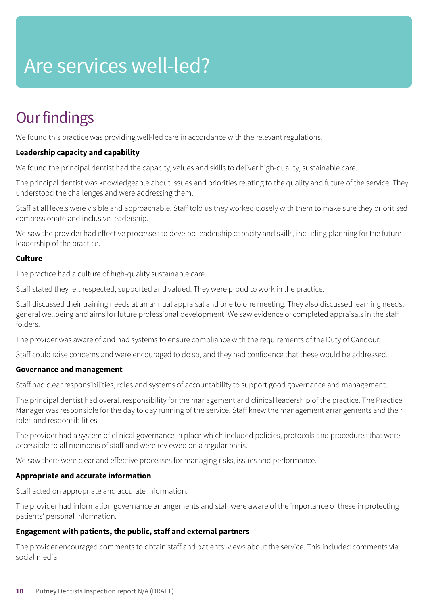## Are services well-led?

### **Our findings**

We found this practice was providing well-led care in accordance with the relevant regulations.

### **Leadership capacity and capability**

We found the principal dentist had the capacity, values and skills to deliver high-quality, sustainable care.

The principal dentist was knowledgeable about issues and priorities relating to the quality and future of the service. They understood the challenges and were addressing them.

Staff at all levels were visible and approachable. Staff told us they worked closely with them to make sure they prioritised compassionate and inclusive leadership.

We saw the provider had effective processes to develop leadership capacity and skills, including planning for the future leadership of the practice.

### **Culture**

The practice had a culture of high-quality sustainable care.

Staff stated they felt respected, supported and valued. They were proud to work in the practice.

Staff discussed their training needs at an annual appraisal and one to one meeting. They also discussed learning needs, general wellbeing and aims for future professional development. We saw evidence of completed appraisals in the staff folders.

The provider was aware of and had systems to ensure compliance with the requirements of the Duty of Candour.

Staff could raise concerns and were encouraged to do so, and they had confidence that these would be addressed.

### **Governance and management**

Staff had clear responsibilities, roles and systems of accountability to support good governance and management.

The principal dentist had overall responsibility for the management and clinical leadership of the practice. The Practice Manager was responsible for the day to day running of the service. Staff knew the management arrangements and their roles and responsibilities.

The provider had a system of clinical governance in place which included policies, protocols and procedures that were accessible to all members of staff and were reviewed on a regular basis.

We saw there were clear and effective processes for managing risks, issues and performance.

### **Appropriate and accurate information**

Staff acted on appropriate and accurate information.

The provider had information governance arrangements and staff were aware of the importance of these in protecting patients' personal information.

### **Engagement with patients, the public, staff and external partners**

The provider encouraged comments to obtain staff and patients' views about the service. This included comments via social media.